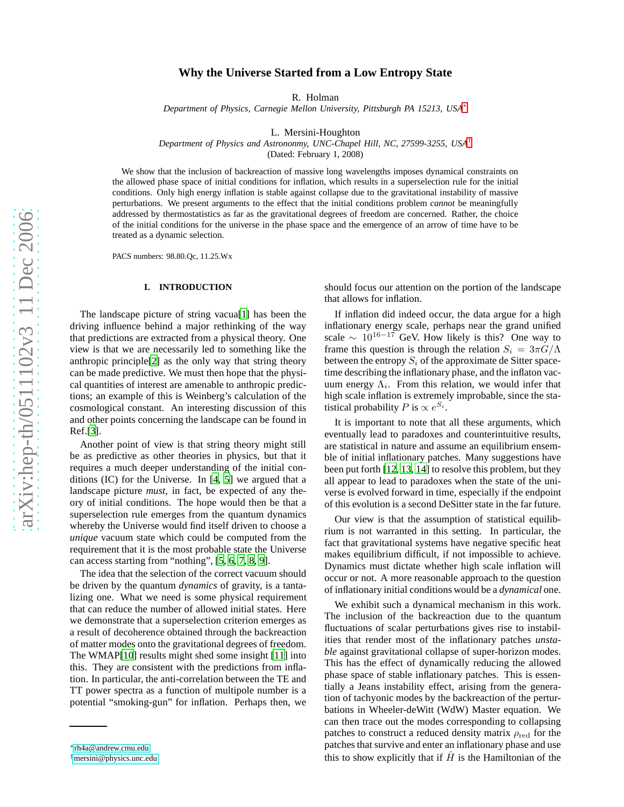# **Why the Universe Started from a Low Entropy State**

R. Holman

*Department of Physics, Carnegie Mellon University, Pittsburgh PA 15213, USA* [∗](#page-0-0)

L. Mersini-Houghton

*Department of Physics and Astrononmy, UNC-Chapel Hill, NC, 27599-3255, USA* [†](#page-0-1)

(Dated: February 1, 2008)

We show that the inclusion of backreaction of massive long wavelengths imposes dynamical constraints on the allowed phase space of initial conditions for inflation, which results in a superselection rule for the initial conditions. Only high energy inflation is stable against collapse due to the gravitational instability of massive perturbations. We present arguments to the effect that the initial conditions problem *cannot* be meaningfully addressed by thermostatistics as far as the gravitational degrees of freedom are concerned. Rather, the choice of the initial conditions for the universe in the phase space and the emergence of an arrow of time have to be treated as a dynamic selection.

PACS numbers: 98.80.Qc, 11.25.Wx

### **I. INTRODUCTION**

The landscape picture of string vacua[\[1\]](#page-6-0) has been the driving influence behind a major rethinking of the way that predictions are extracted from a physical theory. One view is that we are necessarily led to something like the anthropic principle[\[2\]](#page-6-1) as the only way that string theory can be made predictive. We must then hope that the physical quantities of interest are amenable to anthropic predictions; an example of this is Weinberg's calculation of the cosmological constant. An interesting discussion of this and other points concerning the landscape can be found in Ref.[\[3\]](#page-6-2).

Another point of view is that string theory might still be as predictive as other theories in physics, but that it requires a much deeper understanding of the initial conditions (IC) for the Universe. In [\[4](#page-6-3), [5](#page-6-4)] we argued that a landscape picture *must*, in fact, be expected of any theory of initial conditions. The hope would then be that a superselection rule emerges from the quantum dynamics whereby the Universe would find itself driven to choose a *unique* vacuum state which could be computed from the requirement that it is the most probable state the Universe can access starting from "nothing", [\[5,](#page-6-4) [6,](#page-6-5) [7,](#page-6-6) [8,](#page-6-7) [9\]](#page-7-0).

The idea that the selection of the correct vacuum should be driven by the quantum *dynamics* of gravity, is a tantalizing one. What we need is some physical requirement that can reduce the number of allowed initial states. Here we demonstrate that a superselection criterion emerges as a result of decoherence obtained through the backreaction of matter modes onto the gravitational degrees of freedom. The WMAP[\[10](#page-7-1)] results might shed some insight [\[11](#page-7-2)] into this. They are consistent with the predictions from inflation. In particular, the anti-correlation between the TE and TT power spectra as a function of multipole number is a potential "smoking-gun" for inflation. Perhaps then, we

should focus our attention on the portion of the landscape that allows for inflation.

If inflation did indeed occur, the data argue for a high inflationary energy scale, perhaps near the grand unified scale  $\sim 10^{16-17}$  GeV. How likely is this? One way to frame this question is through the relation  $S_i = 3\pi G/\Lambda$ between the entropy  $S_i$  of the approximate de Sitter spacetime describing the inflationary phase, and the inflaton vacuum energy  $\Lambda_i$ . From this relation, we would infer that high scale inflation is extremely improbable, since the statistical probability P is  $\propto e^{S_i}$ .

It is important to note that all these arguments, which eventually lead to paradoxes and counterintuitive results , are statistical in nature and assume an equilibrium ensemble of initial inflationary patches. Many suggestions have been put forth [\[12](#page-7-3), [13,](#page-7-4) [14](#page-7-5)] to resolve this problem, but they all appear to lead to paradoxes when the state of the universe is evolved forward in time, especially if the endpoint of this evolution is a second DeSitter state in the far future .

Our view is that the assumption of statistical equilibrium is not warranted in this setting. In particular, the fact that gravitational systems have negative specific heat makes equilibrium difficult, if not impossible to achieve. Dynamics must dictate whether high scale inflation will occur or not. A more reasonable approach to the question of inflationary initial conditions would be a *dynamical* one.

We exhibit such a dynamical mechanism in this work. The inclusion of the backreaction due to the quantum fluctuations of scalar perturbations gives rise to instabilities that render most of the inflationary patches *unstable* against gravitational collapse of super-horizon modes. This has the effect of dynamically reducing the allowed phase space of stable inflationary patches. This is essentially a Jeans instability effect, arising from the generation of tachyonic modes by the backreaction of the perturbations in Wheeler-deWitt (WdW) Master equation. We can then trace out the modes corresponding to collapsing patches to construct a reduced density matrix  $\rho_{\rm red}$  for the patches that survive and enter an inflationary phase and use this to show explicitly that if  $\hat{H}$  is the Hamiltonian of the

<span id="page-0-0"></span><sup>∗</sup> [rh4a@andrew.cmu.edu](mailto:rh4a@andrew.cmu.edu)

<span id="page-0-1"></span><sup>†</sup>[mersini@physics.unc.edu](mailto:mersini@physics.unc.edu)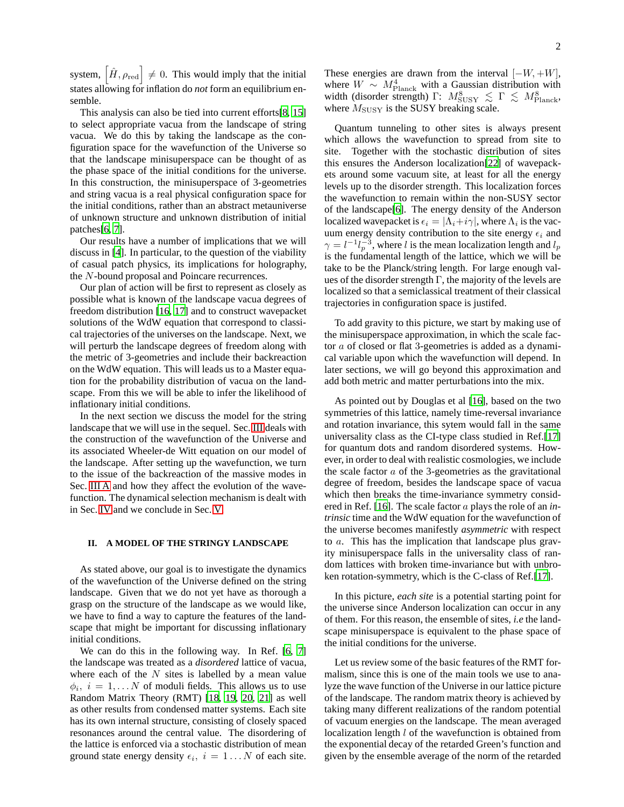system,  $\left| \hat{H}, \rho_{\text{red}} \right| \neq 0$ . This would imply that the initial states allowing for inflation do *not* form an equilibrium ensemble.

This analysis can also be tied into current efforts[\[8](#page-6-7), [15](#page-7-6)] to select appropriate vacua from the landscape of string vacua. We do this by taking the landscape as the configuration space for the wavefunction of the Universe so that the landscape minisuperspace can be thought of as the phase space of the initial conditions for the universe. In this construction, the minisuperspace of 3-geometries and string vacua is a real physical configuration space for the initial conditions, rather than an abstract metauniverse of unknown structure and unknown distribution of initial patches[\[6,](#page-6-5) [7\]](#page-6-6).

Our results have a number of implications that we will discuss in [\[4](#page-6-3)]. In particular, to the question of the viability of casual patch physics, its implications for holography, the N-bound proposal and Poincare recurrences.

Our plan of action will be first to represent as closely as possible what is known of the landscape vacua degrees of freedom distribution [\[16](#page-7-7), [17](#page-7-8)] and to construct wavepacket solutions of the WdW equation that correspond to classical trajectories of the universes on the landscape. Next, we will perturb the landscape degrees of freedom along with the metric of 3-geometries and include their backreaction on the WdW equation. This will leads us to a Master equation for the probability distribution of vacua on the landscape. From this we will be able to infer the likelihood of inflationary initial conditions.

In the next section we discuss the model for the string landscape that we will use in the sequel. Sec. [III](#page-2-0) deals with the construction of the wavefunction of the Universe and its associated Wheeler-de Witt equation on our model of the landscape. After setting up the wavefunction, we turn to the issue of the backreaction of the massive modes in Sec. [III A](#page-4-0) and how they affect the evolution of the wavefunction. The dynamical selection mechanism is dealt with in Sec. [IV](#page-4-1) and we conclude in Sec. [V.](#page-6-8)

### **II. A MODEL OF THE STRINGY LANDSCAPE**

As stated above, our goal is to investigate the dynamics of the wavefunction of the Universe defined on the string landscape. Given that we do not yet have as thorough a grasp on the structure of the landscape as we would like, we have to find a way to capture the features of the landscape that might be important for discussing inflationary initial conditions.

We can do this in the following way. In Ref. [\[6](#page-6-5), [7](#page-6-6)] the landscape was treated as a *disordered* lattice of vacua, where each of the  $N$  sites is labelled by a mean value  $\phi_i$ ,  $i = 1, \dots N$  of moduli fields. This allows us to use Random Matrix Theory (RMT) [\[18,](#page-7-9) [19](#page-7-10), [20,](#page-7-11) [21](#page-7-12)] as well as other results from condensed matter systems. Each site has its own internal structure, consisting of closely spaced resonances around the central value. The disordering of the lattice is enforced via a stochastic distribution of mean ground state energy density  $\epsilon_i$ ,  $i = 1...N$  of each site.

These energies are drawn from the interval  $[-W, +W]$ , where  $W \sim M_{\text{Planck}}^4$  with a Gaussian distribution with width (disorder strength)  $\Gamma$ :  $M_{\text{SUSY}}^8 \lesssim \Gamma \lesssim M_{\text{Planck}}^8$ , where  $M_{\text{SUSY}}$  is the SUSY breaking scale.

Quantum tunneling to other sites is always present which allows the wavefunction to spread from site to site. Together with the stochastic distribution of sites this ensures the Anderson localization[\[22\]](#page-7-13) of wavepackets around some vacuum site, at least for all the energy levels up to the disorder strength. This localization forces the wavefunction to remain within the non-SUSY sector of the landscape[\[6](#page-6-5)]. The energy density of the Anderson localized wavepacket is  $\epsilon_i = |\Lambda_i + i\gamma|$ , where  $\Lambda_i$  is the vacuum energy density contribution to the site energy  $\epsilon_i$  and  $\gamma = l^{-1} l_p^{-3}$ , where l is the mean localization length and  $l_p$ is the fundamental length of the lattice, which we will be take to be the Planck/string length. For large enough values of the disorder strength  $\Gamma$ , the majority of the levels are localized so that a semiclassical treatment of their classical trajectories in configuration space is justifed.

To add gravity to this picture, we start by making use of the minisuperspace approximation, in which the scale factor a of closed or flat 3-geometries is added as a dynamical variable upon which the wavefunction will depend. In later sections, we will go beyond this approximation and add both metric and matter perturbations into the mix.

As pointed out by Douglas et al [\[16\]](#page-7-7), based on the two symmetries of this lattice, namely time-reversal invariance and rotation invariance, this sytem would fall in the same universality class as the CI-type class studied in Ref.[\[17](#page-7-8)] for quantum dots and random disordered systems. However, in order to deal with realistic cosmologies, we include the scale factor  $a$  of the 3-geometries as the gravitational degree of freedom, besides the landscape space of vacua which then breaks the time-invariance symmetry considered in Ref. [\[16](#page-7-7)]. The scale factor a plays the role of an *intrinsic* time and the WdW equation for the wavefunction of the universe becomes manifestly *asymmetric* with respect to a. This has the implication that landscape plus gravity minisuperspace falls in the universality class of random lattices with broken time-invariance but with unbroken rotation-symmetry, which is the C-class of Ref.[\[17](#page-7-8)].

In this picture, *each site* is a potential starting point for the universe since Anderson localization can occur in any of them. For this reason, the ensemble of sites, *i.e* the landscape minisuperspace is equivalent to the phase space of the initial conditions for the universe.

Let us review some of the basic features of the RMT formalism, since this is one of the main tools we use to analyze the wave function of the Universe in our lattice picture of the landscape. The random matrix theory is achieved by taking many different realizations of the random potential of vacuum energies on the landscape. The mean averaged localization length *l* of the wavefunction is obtained from the exponential decay of the retarded Green's function and given by the ensemble average of the norm of the retarded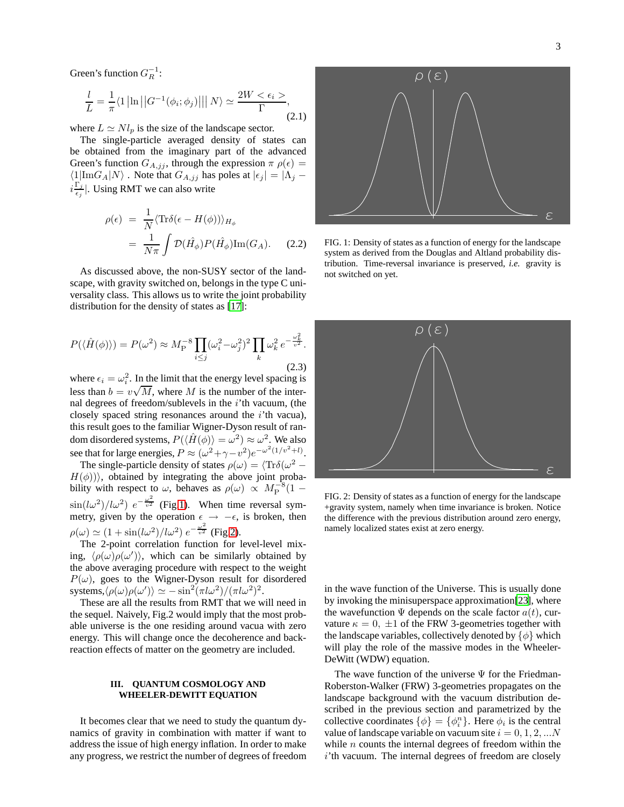Green's function  $G_R^{-1}$ :

$$
\frac{l}{L} = \frac{1}{\pi} \langle 1 | \ln | |G^{-1}(\phi_i; \phi_j)| | | N \rangle \simeq \frac{2W < \epsilon_i >}{\Gamma}, \tag{2.1}
$$

where  $L \simeq Nl_p$  is the size of the landscape sector.

The single-particle averaged density of states can be obtained from the imaginary part of the advanced Green's function  $G_{A,jj}$ , through the expression  $\pi \rho(\epsilon) =$  $\langle 1|\text{Im}G_A|N\rangle$  . Note that  $G_{A,jj}$  has poles at  $|\epsilon_j| = |\Lambda_j|$  $i\frac{\Gamma_j}{\epsilon}$  $\frac{1}{\epsilon_j}$ . Using RMT we can also write

$$
\rho(\epsilon) = \frac{1}{N} \langle \text{Tr}\delta(\epsilon - H(\phi)) \rangle_{H_{\phi}}
$$
  
= 
$$
\frac{1}{N\pi} \int \mathcal{D}(\hat{H_{\phi}}) P(\hat{H_{\phi}}) \text{Im}(G_A). \quad (2.2)
$$

As discussed above, the non-SUSY sector of the landscape, with gravity switched on, belongs in the type C universality class. This allows us to write the joint probability distribution for the density of states as [\[17\]](#page-7-8):

$$
P(\langle \hat{H}(\phi) \rangle) = P(\omega^2) \approx M_P^{-8} \prod_{i \le j} (\omega_i^2 - \omega_j^2)^2 \prod_k \omega_k^2 e^{-\frac{\omega_k^2}{v^2}}.
$$
\n(2.3)

where  $\epsilon_i = \omega_i^2$ . In the limit that the energy level spacing is less than  $b = v\sqrt{M}$ , where M is the number of the internal degrees of freedom/sublevels in the  $i$ <sup>th</sup> vacuum, (the closely spaced string resonances around the  $i$ 'th vacua), this result goes to the familiar Wigner-Dyson result of random disordered systems,  $P(\langle \hat{H}(\phi) \rangle = \omega^2) \approx \omega^2$ . We also see that for large energies,  $P \approx (\omega^2 + \gamma - v^2)e^{-\omega^2(1/v^2 + l)}$ .

The single-particle density of states  $\rho(\omega) = \langle \text{Tr}\delta(\omega^2 - \hat{\theta})\rangle$  $H(\phi)$ ), obtained by integrating the above joint probability with respect to  $\omega$ , behaves as  $\rho(\omega) \propto M_P^{-8}(1 \sin(l\omega^2)/l\omega^2$   $e^{-\frac{\omega^2}{v^2}}$  (Fig[.1\)](#page-2-1). When time reversal symmetry, given by the operation  $\epsilon \rightarrow -\epsilon$ , is broken, then  $\rho(\omega) \simeq (1 + \sin(l\omega^2)/l\omega^2) e^{-\frac{\omega^2}{v^2}}$  (Fig[.2\)](#page-2-2).

The 2-point correlation function for level-level mixing,  $\langle \rho(\omega) \rho(\omega') \rangle$ , which can be similarly obtained by the above averaging procedure with respect to the weight  $P(\omega)$ , goes to the Wigner-Dyson result for disordered systems, $\langle \rho(\omega)\rho(\omega') \rangle \simeq -\sin^2(\pi l \omega^2)/(\pi l \omega^2)^2$ .

These are all the results from RMT that we will need in the sequel. Naively, Fig.2 would imply that the most probable universe is the one residing around vacua with zero energy. This will change once the decoherence and backreaction effects of matter on the geometry are included.

## <span id="page-2-0"></span>**III. QUANTUM COSMOLOGY AND WHEELER-DEWITT EQUATION**

It becomes clear that we need to study the quantum dynamics of gravity in combination with matter if want to address the issue of high energy inflation. In order to make any progress, we restrict the number of degrees of freedom



<span id="page-2-1"></span>FIG. 1: Density of states as a function of energy for the landscape system as derived from the Douglas and Altland probability distribution. Time-reversal invariance is preserved, *i.e.* gravity is not switched on yet.



<span id="page-2-2"></span>FIG. 2: Density of states as a function of energy for the landscape +gravity system, namely when time invariance is broken. Notice the difference with the previous distribution around zero energy, namely localized states exist at zero energy.

in the wave function of the Universe. This is usually done by invoking the minisuperspace approximation[\[23\]](#page-7-14), where the wavefunction  $\Psi$  depends on the scale factor  $a(t)$ , curvature  $\kappa = 0, \pm 1$  of the FRW 3-geometries together with the landscape variables, collectively denoted by  $\{\phi\}$  which will play the role of the massive modes in the Wheeler-DeWitt (WDW) equation.

The wave function of the universe  $\Psi$  for the Friedman-Roberston-Walker (FRW) 3-geometries propagates on the landscape background with the vacuum distribution described in the previous section and parametrized by the collective coordinates  $\{\phi\} = \{\phi_i^n\}$ . Here  $\phi_i$  is the central value of landscape variable on vacuum site  $i = 0, 1, 2, ...N$ while  $n$  counts the internal degrees of freedom within the i'th vacuum. The internal degrees of freedom are closely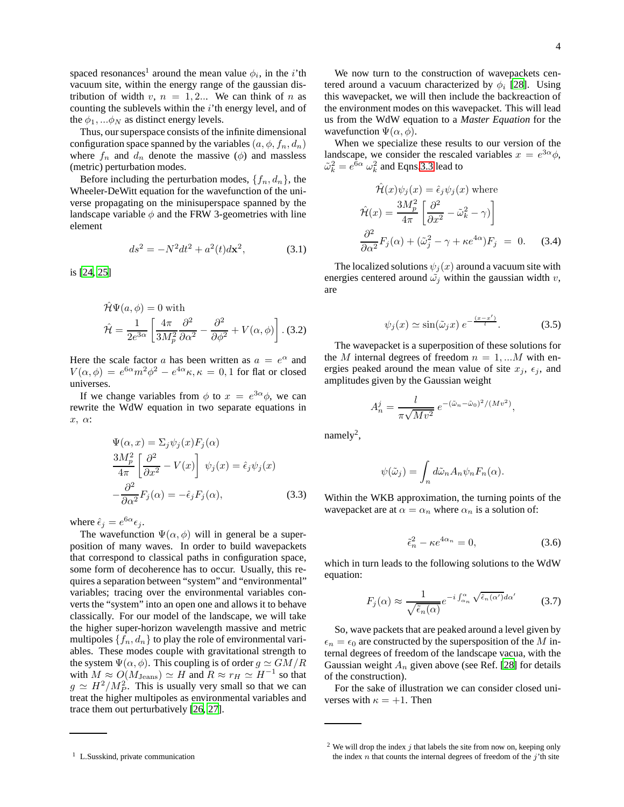spaced resonances<sup>1</sup> around the mean value  $\phi_i$ , in the *i*'th vacuum site, within the energy range of the gaussian distribution of width v,  $n = 1, 2...$  We can think of n as counting the sublevels within the  $i$ 'th energy level, and of the  $\phi_1, \ldots, \phi_N$  as distinct energy levels.

Thus, our superspace consists of the infinite dimensional configuration space spanned by the variables  $(a, \phi, f_n, d_n)$ where  $f_n$  and  $d_n$  denote the massive ( $\phi$ ) and massless (metric) perturbation modes.

Before including the perturbation modes,  $\{f_n, d_n\}$ , the Wheeler-DeWitt equation for the wavefunction of the universe propagating on the minisuperspace spanned by the landscape variable  $\phi$  and the FRW 3-geometries with line element

$$
ds^{2} = -N^{2}dt^{2} + a^{2}(t)d\mathbf{x}^{2}, \qquad (3.1)
$$

is [\[24,](#page-7-15) [25\]](#page-7-16)

$$
\hat{\mathcal{H}}\Psi(a,\phi) = 0 \text{ with}
$$

$$
\hat{\mathcal{H}} = \frac{1}{2e^{3\alpha}} \left[ \frac{4\pi}{3M_p^2} \frac{\partial^2}{\partial \alpha^2} - \frac{\partial^2}{\partial \phi^2} + V(\alpha,\phi) \right].
$$
 (3.2)

Here the scale factor a has been written as  $a = e^{\alpha}$  and  $V(\alpha, \phi) = e^{6\alpha} m^2 \phi^2 - e^{4\alpha} \kappa, \kappa = 0, 1$  for flat or closed universes.

If we change variables from  $\phi$  to  $x = e^{3\alpha} \phi$ , we can rewrite the WdW equation in two separate equations in x, α:

<span id="page-3-0"></span>
$$
\Psi(\alpha, x) = \Sigma_j \psi_j(x) F_j(\alpha)
$$
  
\n
$$
\frac{3M_p^2}{4\pi} \left[ \frac{\partial^2}{\partial x^2} - V(x) \right] \psi_j(x) = \hat{\epsilon}_j \psi_j(x)
$$
  
\n
$$
-\frac{\partial^2}{\partial \alpha^2} F_j(\alpha) = -\hat{\epsilon}_j F_j(\alpha),
$$
\n(3.3)

where  $\hat{\epsilon}_j = e^{6\alpha} \epsilon_j$ .

The wavefunction  $\Psi(\alpha, \phi)$  will in general be a superposition of many waves. In order to build wavepackets that correspond to classical paths in configuration space, some form of decoherence has to occur. Usually, this requires a separation between "system" and "environmental" variables; tracing over the environmental variables converts the "system" into an open one and allows it to behave classically. For our model of the landscape, we will take the higher super-horizon wavelength massive and metric multipoles  $\{f_n, d_n\}$  to play the role of environmental variables. These modes couple with gravitational strength to the system  $\Psi(\alpha, \phi)$ . This coupling is of order  $g \simeq GM/R$ with  $M \approx O(M_{\text{Jeans}}) \simeq H$  and  $R \approx r_H \simeq H^{-1}$  so that  $g \simeq H^2/M_P^2$ . This is usually very small so that we can treat the higher multipoles as environmental variables and trace them out perturbatively [\[26,](#page-7-17) [27](#page-7-18)].

We now turn to the construction of wavepackets centered around a vacuum characterized by  $\phi_i$  [\[28\]](#page-7-19). Using this wavepacket, we will then include the backreaction of the environment modes on this wavepacket. This will lead us from the WdW equation to a *Master Equation* for the wavefunction  $\Psi(\alpha, \phi)$ .

When we specialize these results to our version of the landscape, we consider the rescaled variables  $x = e^{3\alpha}\phi$ ,  $\tilde{\omega}_k^2 = e^{6\alpha} \ \omega_k^2$  and Eqns[.3.3](#page-3-0) lead to

$$
\hat{\mathcal{H}}(x)\psi_j(x) = \hat{\epsilon}_j \psi_j(x) \text{ where}
$$

$$
\hat{\mathcal{H}}(x) = \frac{3M_p^2}{4\pi} \left[ \frac{\partial^2}{\partial x^2} - \tilde{\omega}_k^2 - \gamma \right]
$$

$$
\frac{\partial^2}{\partial \alpha^2} F_j(\alpha) + (\tilde{\omega}_j^2 - \gamma + \kappa e^{4\alpha}) F_j = 0. \quad (3.4)
$$

The localized solutions  $\psi_j(x)$  around a vacuum site with energies centered around  $\tilde{\omega}_j$  within the gaussian width v, are

$$
\psi_j(x) \simeq \sin(\tilde{\omega}_j x) \, e^{-\frac{(x-x')}{l}}.\tag{3.5}
$$

The wavepacket is a superposition of these solutions for the M internal degrees of freedom  $n = 1, \dots M$  with energies peaked around the mean value of site  $x_j$ ,  $\epsilon_j$ , and amplitudes given by the Gaussian weight

$$
A_n^j = \frac{l}{\pi \sqrt{M v^2}} e^{-(\tilde{\omega}_n - \tilde{\omega}_0)^2 / (M v^2)},
$$

namely<sup>2</sup>,

$$
\psi(\tilde{\omega}_j) = \int_n d\tilde{\omega}_n A_n \psi_n F_n(\alpha).
$$

Within the WKB approximation, the turning points of the wavepacket are at  $\alpha = \alpha_n$  where  $\alpha_n$  is a solution of:

$$
\tilde{\epsilon}_n^2 - \kappa e^{4\alpha_n} = 0,\t\t(3.6)
$$

which in turn leads to the following solutions to the WdW equation:

$$
F_j(\alpha) \approx \frac{1}{\sqrt{\tilde{\epsilon}_n(\alpha)}} e^{-i \int_{\alpha_n}^{\alpha} \sqrt{\tilde{\epsilon}_n(\alpha')} d\alpha'} \tag{3.7}
$$

So, wave packets that are peaked around a level given by  $\epsilon_n = \epsilon_0$  are constructed by the supersposition of the M internal degrees of freedom of the landscape vacua, with the Gaussian weight  $A_n$  given above (see Ref. [\[28\]](#page-7-19) for details of the construction).

For the sake of illustration we can consider closed universes with  $\kappa = +1$ . Then

<sup>&</sup>lt;sup>1</sup> L.Susskind, private communication

 $2$  We will drop the index  $j$  that labels the site from now on, keeping only the index  $n$  that counts the internal degrees of freedom of the  $j'$ th site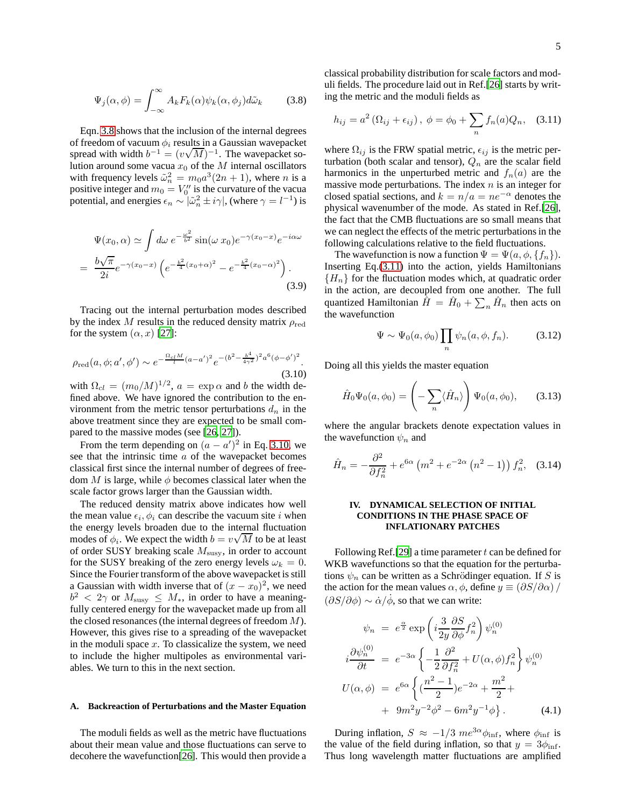<span id="page-4-2"></span>
$$
\Psi_j(\alpha,\phi) = \int_{-\infty}^{\infty} A_k F_k(\alpha) \psi_k(\alpha,\phi_j) d\tilde{\omega}_k \qquad (3.8)
$$

Eqn. [3.8](#page-4-2) shows that the inclusion of the internal degrees of freedom of vacuum  $\phi_i$  results in a Gaussian wavepacket spread with width  $b^{-1} = (v\sqrt{M})^{-1}$ . The wavepacket solution around some vacua  $x_0$  of the M internal oscillators with frequency levels  $\tilde{\omega}_n^2 = m_0 a^3 (2n + 1)$ , where *n* is a positive integer and  $m_0 = V_0''$  is the curvature of the vacua potential, and energies  $\epsilon_n \sim |\tilde{\omega}_n^2 \pm i\gamma|$ , (where  $\gamma = l^{-1}$ ) is

$$
\Psi(x_0, \alpha) \simeq \int d\omega \ e^{-\frac{\omega^2}{b^2}} \sin(\omega \ x_0) e^{-\gamma(x_0 - x)} e^{-i\alpha \omega}
$$
\n
$$
= \frac{b\sqrt{\pi}}{2i} e^{-\gamma(x_0 - x)} \left( e^{-\frac{b^2}{4}(x_0 + \alpha)^2} - e^{-\frac{b^2}{4}(x_0 - \alpha)^2} \right).
$$
\n(3.9)

Tracing out the internal perturbation modes described by the index  $M$  results in the reduced density matrix  $\rho_{\rm red}$ for the system  $(\alpha, x)$  [\[27\]](#page-7-18):

<span id="page-4-3"></span>
$$
\rho_{\rm red}(a,\phi;a',\phi') \sim e^{-\frac{\Omega_{cl}M}{l}(a-a')^2} e^{-(b^2 - \frac{b^4}{4\gamma^2})^2 a^6(\phi - \phi')^2}.
$$
\n(3.10)

with  $\Omega_{cl} = (m_0/M)^{1/2}$ ,  $a = \exp \alpha$  and b the width defined above. We have ignored the contribution to the environment from the metric tensor perturbations  $d_n$  in the above treatment since they are expected to be small compared to the massive modes (see [\[26,](#page-7-17) [27\]](#page-7-18)).

From the term depending on  $(a - a')^2$  in Eq. [3.10,](#page-4-3) we see that the intrinsic time a of the wavepacket becomes classical first since the internal number of degrees of freedom M is large, while  $\phi$  becomes classical later when the scale factor grows larger than the Gaussian width.

The reduced density matrix above indicates how well the mean value  $\epsilon_i$ ,  $\phi_i$  can describe the vacuum site *i* when the energy levels broaden due to the internal fluctuation modes of  $\phi_i$ . We expect the width  $b = v\sqrt{M}$  to be at least of order SUSY breaking scale  $M<sub>susy</sub>$ , in order to account for the SUSY breaking of the zero energy levels  $\omega_k = 0$ . Since the Fourier transform of the above wavepacket is still a Gaussian with width inverse that of  $(x - x_0)^2$ , we need  $b^2 < 2\gamma$  or  $M_{\text{susy}} \leq M_*$ , in order to have a meaningfully centered energy for the wavepacket made up from all the closed resonances (the internal degrees of freedom  $M$ ). However, this gives rise to a spreading of the wavepacket in the moduli space  $x$ . To classicalize the system, we need to include the higher multipoles as environmental variables. We turn to this in the next section.

#### <span id="page-4-0"></span>**A. Backreaction of Perturbations and the Master Equation**

The moduli fields as well as the metric have fluctuations about their mean value and those fluctuations can serve to decohere the wavefunction[\[26\]](#page-7-17). This would then provide a classical probability distribution for scale factors and moduli fields. The procedure laid out in Ref.[\[26](#page-7-17)] starts by writing the metric and the moduli fields as

<span id="page-4-4"></span>
$$
h_{ij} = a^2 (\Omega_{ij} + \epsilon_{ij}), \ \phi = \phi_0 + \sum_n f_n(a) Q_n, \quad (3.11)
$$

where  $\Omega_{ij}$  is the FRW spatial metric,  $\epsilon_{ij}$  is the metric perturbation (both scalar and tensor),  $Q_n$  are the scalar field harmonics in the unperturbed metric and  $f_n(a)$  are the massive mode perturbations. The index  $n$  is an integer for closed spatial sections, and  $k = n/a = ne^{-\alpha}$  denotes the physical wavenumber of the mode. As stated in Ref.[\[26\]](#page-7-17), the fact that the CMB fluctuations are so small means that we can neglect the effects of the metric perturbations in the following calculations relative to the field fluctuations.

The wavefunction is now a function  $\Psi = \Psi(a, \phi, \{f_n\})$ . Inserting Eq.[\(3.11\)](#page-4-4) into the action, yields Hamiltonians  ${H_n}$  for the fluctuation modes which, at quadratic order in the action, are decoupled from one another. The full quantized Hamiltonian  $\hat{H} = \hat{H}_0 + \sum_n \hat{H}_n$  then acts on the wavefunction

$$
\Psi \sim \Psi_0(a, \phi_0) \prod_n \psi_n(a, \phi, f_n). \tag{3.12}
$$

Doing all this yields the master equation

$$
\hat{H}_0\Psi_0(a,\phi_0) = \left(-\sum_n \langle \hat{H}_n \rangle\right) \Psi_0(a,\phi_0),\qquad(3.13)
$$

where the angular brackets denote expectation values in the wavefunction  $\psi_n$  and

$$
\hat{H}_n = -\frac{\partial^2}{\partial f_n^2} + e^{6\alpha} \left( m^2 + e^{-2\alpha} \left( n^2 - 1 \right) \right) f_n^2, \quad (3.14)
$$

### <span id="page-4-1"></span>**IV. DYNAMICAL SELECTION OF INITIAL CONDITIONS IN THE PHASE SPACE OF INFLATIONARY PATCHES**

Following Ref. [\[29](#page-7-20)] a time parameter  $t$  can be defined for WKB wavefunctions so that the equation for the perturbations  $\psi_n$  can be written as a Schrödinger equation. If S is the action for the mean values  $\alpha$ ,  $\phi$ , define  $y \equiv \left(\frac{\partial S}{\partial \alpha}\right)$  $(\partial S/\partial \phi) \sim \dot{\alpha}/\dot{\phi}$ , so that we can write:

<span id="page-4-5"></span>
$$
\psi_n = e^{\frac{\alpha}{2}} \exp\left(i\frac{3}{2y}\frac{\partial S}{\partial \phi} f_n^2\right) \psi_n^{(0)}
$$
  

$$
i\frac{\partial \psi_n^{(0)}}{\partial t} = e^{-3\alpha} \left\{-\frac{1}{2}\frac{\partial^2}{\partial f_n^2} + U(\alpha, \phi) f_n^2\right\} \psi_n^{(0)}
$$
  

$$
U(\alpha, \phi) = e^{6\alpha} \left\{(\frac{n^2 - 1}{2})e^{-2\alpha} + \frac{m^2}{2} + \frac{m^2y^2}{2} + \frac{9m^2y^{-2}\phi^2 - 6m^2y^{-1}\phi}\right\}.
$$
 (4.1)

During inflation,  $S \approx -1/3$   $me^{3\alpha}\phi_{\text{inf}}$ , where  $\phi_{\text{inf}}$  is the value of the field during inflation, so that  $y = 3\phi_{\text{inf}}$ . Thus long wavelength matter fluctuations are amplified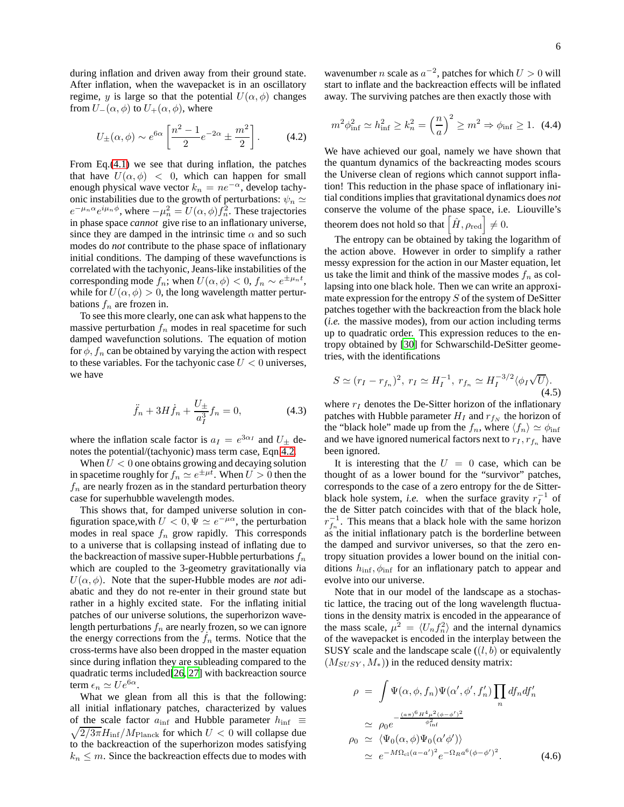during inflation and driven away from their ground state. After inflation, when the wavepacket is in an oscillatory regime, y is large so that the potential  $U(\alpha, \phi)$  changes from  $U_-(\alpha, \phi)$  to  $U_+(\alpha, \phi)$ , where

<span id="page-5-0"></span>
$$
U_{\pm}(\alpha, \phi) \sim e^{6\alpha} \left[ \frac{n^2 - 1}{2} e^{-2\alpha} \pm \frac{m^2}{2} \right].
$$
 (4.2)

From Eq.[\(4.1\)](#page-4-5) we see that during inflation, the patches that have  $U(\alpha, \phi) < 0$ , which can happen for small enough physical wave vector  $k_n = ne^{-\alpha}$ , develop tachyonic instabilities due to the growth of perturbations:  $\psi_n \simeq$  $e^{-\mu_n \alpha} e^{i\mu_n \phi}$ , where  $-\mu_n^2 = U(\alpha, \phi) f_n^2$ . These trajectories in phase space *cannot* give rise to an inflationary universe, since they are damped in the intrinsic time  $\alpha$  and so such modes do *not* contribute to the phase space of inflationary initial conditions. The damping of these wavefunctions is correlated with the tachyonic, Jeans-like instabilities of the corresponding mode  $f_n$ ; when  $U(\alpha, \phi) < 0$ ,  $f_n \sim e^{\pm \mu_n t}$ , while for  $U(\alpha, \phi) > 0$ , the long wavelength matter perturbations  $f_n$  are frozen in.

To see this more clearly, one can ask what happens to the massive perturbation  $f_n$  modes in real spacetime for such damped wavefunction solutions. The equation of motion for  $\phi$ ,  $f_n$  can be obtained by varying the action with respect to these variables. For the tachyonic case  $U < 0$  universes, we have

$$
\ddot{f}_n + 3H\dot{f}_n + \frac{U_{\pm}}{a_1^3}f_n = 0, \tag{4.3}
$$

where the inflation scale factor is  $a_I = e^{3\alpha_I}$  and  $U_{\pm}$  denotes the potential/(tachyonic) mass term case, Eqn[.4.2.](#page-5-0)

When  $U < 0$  one obtains growing and decaying solution in spacetime roughly for  $f_n \simeq e^{\pm \mu t}$ . When  $U > 0$  then the  $f_n$  are nearly frozen as in the standard perturbation theory case for superhubble wavelength modes.

This shows that, for damped universe solution in configuration space, with  $U < 0$ ,  $\Psi \simeq e^{-\mu \alpha}$ , the perturbation modes in real space  $f_n$  grow rapidly. This corresponds to a universe that is collapsing instead of inflating due to the backreaction of massive super-Hubble perturbations  $f_n$ which are coupled to the 3-geometry gravitationally via  $U(\alpha, \phi)$ . Note that the super-Hubble modes are *not* adiabatic and they do not re-enter in their ground state but rather in a highly excited state. For the inflating initial patches of our universe solutions, the superhorizon wavelength perturbations  $f_n$  are nearly frozen, so we can ignore the energy corrections from the  $f_n$  terms. Notice that the cross-terms have also been dropped in the master equation since during inflation they are subleading compared to the quadratic terms included[\[26,](#page-7-17) [27](#page-7-18)] with backreaction source term  $\epsilon_n \simeq U e^{6\alpha}$ .

What we glean from all this is that the following: all initial inflationary patches, characterized by values of the scale factor  $a_{\text{inf}}$  and Hubble parameter  $h_{\text{inf}} \equiv$  $\sqrt{2/3\pi}H_{\rm inf}/M_{\rm Planck}$  for which  $U < 0$  will collapse due to the backreaction of the superhorizon modes satisfying  $k_n \leq m$ . Since the backreaction effects due to modes with

wavenumber *n* scale as  $a^{-2}$ , patches for which  $U > 0$  will start to inflate and the backreaction effects will be inflated away. The surviving patches are then exactly those with

$$
m^2 \phi_{\rm inf}^2 \simeq h_{\rm inf}^2 \ge k_n^2 = \left(\frac{n}{a}\right)^2 \ge m^2 \Rightarrow \phi_{\rm inf} \ge 1. \tag{4.4}
$$

We have achieved our goal, namely we have shown that the quantum dynamics of the backreacting modes scours the Universe clean of regions which cannot support inflation! This reduction in the phase space of inflationary initial conditions implies that gravitational dynamics does *not* conserve the volume of the phase space, i.e. Liouville's theorem does not hold so that  $\left[ \hat{H}, \rho_{\rm red} \right] \neq 0.$ 

The entropy can be obtained by taking the logarithm of the action above. However in order to simplify a rather messy expression for the action in our Master equation, let us take the limit and think of the massive modes  $f_n$  as collapsing into one black hole. Then we can write an approximate expression for the entropy  $S$  of the system of DeSitter patches together with the backreaction from the black hole (*i.e.* the massive modes), from our action including terms up to quadratic order. This expression reduces to the entropy obtained by [\[30](#page-7-21)] for Schwarschild-DeSitter geometries, with the identifications

<span id="page-5-1"></span>
$$
S \simeq (r_I - r_{f_n})^2, \ r_I \simeq H_I^{-1}, \ r_{f_n} \simeq H_I^{-3/2} \langle \phi_I \sqrt{U} \rangle.
$$
\n(4.5)

where  $r_I$  denotes the De-Sitter horizon of the inflationary patches with Hubble parameter  $H_I$  and  $r_{f_N}$  the horizon of the "black hole" made up from the  $f_n$ , where  $\langle f_n \rangle \simeq \phi_{\text{inf}}$ and we have ignored numerical factors next to  $r_I, r_{f_n}$  have been ignored.

It is interesting that the  $U = 0$  case, which can be thought of as a lower bound for the "survivor" patches, corresponds to the case of a zero entropy for the de Sitterblack hole system, *i.e.* when the surface gravity  $r_I^{-1}$  of the de Sitter patch coincides with that of the black hole,  $r_{f_n}^{-1}$ . This means that a black hole with the same horizon as the initial inflationary patch is the borderline between the damped and survivor universes, so that the zero entropy situation provides a lower bound on the initial conditions  $h_{\text{inf}}$ ,  $\phi_{\text{inf}}$  for an inflationary patch to appear and evolve into our universe.

Note that in our model of the landscape as a stochastic lattice, the tracing out of the long wavelength fluctuations in the density matrix is encoded in the appearance of the mass scale,  $\mu^2 = \langle U_n f_n^2 \rangle$  and the internal dynamics of the wavepacket is encoded in the interplay between the SUSY scale and the landscape scale  $((l, b)$  or equivalently  $(M_{SUSY}, M_*)$ ) in the reduced density matrix:

$$
\rho = \int \Psi(\alpha, \phi, f_n) \Psi(\alpha', \phi', f'_n) \prod_n df_n df'_n
$$
  
\n
$$
\simeq \rho_0 e^{-\frac{(a\pi)^6 H^4 \mu^2 (\phi - \phi')^2}{\phi_{\text{inf}}^2}}
$$
  
\n
$$
\rho_0 \simeq \langle \Psi_0(\alpha, \phi) \Psi_0(\alpha' \phi') \rangle
$$
  
\n
$$
\simeq e^{-M \Omega_{\text{cl}} (a - a')^2} e^{-\Omega_R a^6 (\phi - \phi')^2}.
$$
\n(4.6)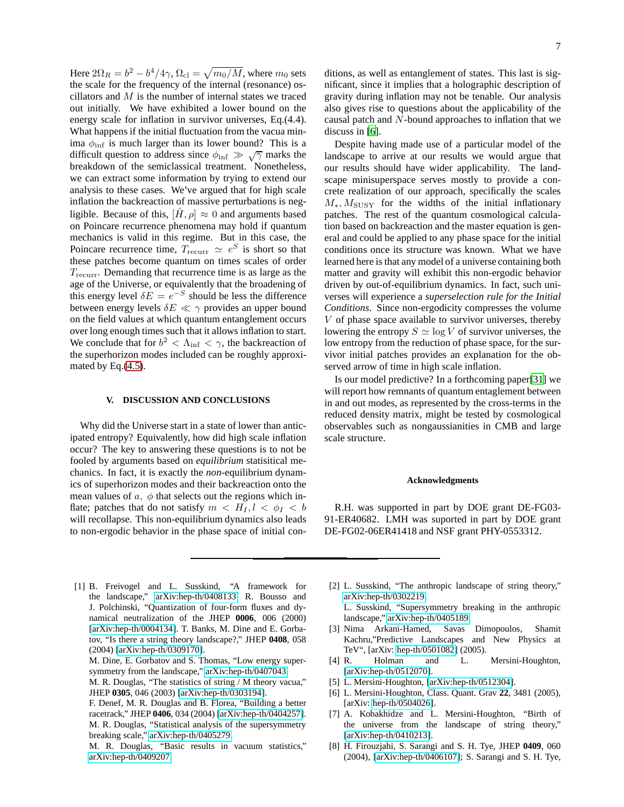Here  $2\Omega_R = b^2 - b^4/4\gamma$ ,  $\Omega_{\text{cl}} = \sqrt{m_0/M}$ , where  $m_0$  sets the scale for the frequency of the internal (resonance) oscillators and M is the number of internal states we traced out initially. We have exhibited a lower bound on the energy scale for inflation in survivor universes, Eq.(4.4). What happens if the initial fluctuation from the vacua minima  $\phi_{\text{inf}}$  is much larger than its lower bound? This is a difficult question to address since  $\phi_{\text{inf}} \gg \sqrt{\gamma}$  marks the breakdown of the semiclassical treatment. Nonetheless, we can extract some information by trying to extend our analysis to these cases. We've argued that for high scale inflation the backreaction of massive perturbations is negligible. Because of this,  $[\hat{H}, \rho] \approx 0$  and arguments based on Poincare recurrence phenomena may hold if quantum mechanics is valid in this regime. But in this case, the Poincare recurrence time,  $T_{\text{recurr}} \simeq e^S$  is short so that these patches become quantum on times scales of order  $T_{\text{recurr}}$ . Demanding that recurrence time is as large as the age of the Universe, or equivalently that the broadening of this energy level  $\delta E = e^{-S}$  should be less the difference between energy levels  $\delta E \ll \gamma$  provides an upper bound on the field values at which quantum entanglement occurs over long enough times such that it allows inflation to start. We conclude that for  $b^2 < \Lambda_{\text{inf}} < \gamma$ , the backreaction of the superhorizon modes included can be roughly approximated by Eq.[\(4.5\)](#page-5-1).

#### <span id="page-6-8"></span>**V. DISCUSSION AND CONCLUSIONS**

Why did the Universe start in a state of lower than anticipated entropy? Equivalently, how did high scale inflation occur? The key to answering these questions is to not be fooled by arguments based on *equilibrium* statisitical mechanics. In fact, it is exactly the *non*-equilibrium dynamics of superhorizon modes and their backreaction onto the mean values of  $a, \phi$  that selects out the regions which inflate; patches that do not satisfy  $m < H_I, l < \phi_I < b$ will recollapse. This non-equilibrium dynamics also leads to non-ergodic behavior in the phase space of initial conditions, as well as entanglement of states. This last is significant, since it implies that a holographic description of gravity during inflation may not be tenable. Our analysis also gives rise to questions about the applicability of the causal patch and N-bound approaches to inflation that we discuss in [\[6](#page-6-5)].

Despite having made use of a particular model of the landscape to arrive at our results we would argue that our results should have wider applicability. The landscape minisuperspace serves mostly to provide a concrete realization of our approach, specifically the scales  $M_{\ast}$ ,  $M_{\text{SUSY}}$  for the widths of the initial inflationary patches. The rest of the quantum cosmological calculation based on backreaction and the master equation is general and could be applied to any phase space for the initial conditions once its structure was known. What we have learned here is that any model of a universe containing both matter and gravity will exhibit this non-ergodic behavior driven by out-of-equilibrium dynamics. In fact, such universes will experience a *superselection rule for the Initial Conditions*. Since non-ergodicity compresses the volume V of phase space available to survivor universes, thereby lowering the entropy  $S \simeq \log V$  of survivor universes, the low entropy from the reduction of phase space, for the survivor initial patches provides an explanation for the observed arrow of time in high scale inflation.

Is our model predictive? In a forthcoming paper[\[31](#page-7-22)] we will report how remnants of quantum entaglement between in and out modes, as represented by the cross-terms in the reduced density matrix, might be tested by cosmological observables such as nongaussianities in CMB and large scale structure.

#### **Acknowledgments**

R.H. was supported in part by DOE grant DE-FG03- 91-ER40682. LMH was suported in part by DOE grant DE-FG02-06ER41418 and NSF grant PHY-0553312.

- <span id="page-6-0"></span>[1] B. Freivogel and L. Susskind, "A framework for the landscape," [arXiv:hep-th/0408133.](http://arXiv.org/abs/hep-th/0408133) R. Bousso and J. Polchinski, "Quantization of four-form fluxes and dynamical neutralization of the JHEP **0006**, 006 (2000) [\[arXiv:hep-th/0004134\]](http://arXiv.org/abs/hep-th/0004134). T. Banks, M. Dine and E. Gorbatov, "Is there a string theory landscape?," JHEP **0408**, 058 (2004) [\[arXiv:hep-th/0309170\]](http://arXiv.org/abs/hep-th/0309170).
	- M. Dine, E. Gorbatov and S. Thomas, "Low energy supersymmetry from the landscape," [arXiv:hep-th/0407043.](http://arXiv.org/abs/hep-th/0407043)
	- M. R. Douglas, "The statistics of string / M theory vacua," JHEP **0305**, 046 (2003) [\[arXiv:hep-th/0303194\]](http://arXiv.org/abs/hep-th/0303194).
	- F. Denef, M. R. Douglas and B. Florea, "Building a better racetrack," JHEP **0406**, 034 (2004) [\[arXiv:hep-th/0404257\]](http://arXiv.org/abs/hep-th/0404257). M. R. Douglas, "Statistical analysis of the supersymmetry breaking scale," [arXiv:hep-th/0405279.](http://arXiv.org/abs/hep-th/0405279)
	- M. R. Douglas, "Basic results in vacuum statistics," [arXiv:hep-th/0409207.](http://arXiv.org/abs/hep-th/0409207)
- <span id="page-6-1"></span>[2] L. Susskind, "The anthropic landscape of string theory," [arXiv:hep-th/0302219.](http://arXiv.org/abs/hep-th/0302219)
	- L. Susskind, "Supersymmetry breaking in the anthropic landscape," [arXiv:hep-th/0405189.](http://arXiv.org/abs/hep-th/0405189)
- <span id="page-6-2"></span>[3] Nima Arkani-Hamed, Savas Dimopoulos, Shamit Kachru,"Predictive Landscapes and New Physics at TeV", [arXiv: [hep-th/0501082\]](http://arXiv.org/abs/hep-th/0501082) (2005).
- <span id="page-6-3"></span>[4] R. Holman and L. Mersini-Houghton, [\[arXiv:hep-th/0512070\]](http://arXiv.org/abs/hep-th/0512070).
- <span id="page-6-4"></span>[5] L. Mersini-Houghton, [\[arXiv:hep-th/0512304\]](http://arXiv.org/abs/hep-th/0512304).
- <span id="page-6-5"></span>[6] L. Mersini-Houghton, Class. Quant. Grav **22**, 3481 (2005), [arXiv: [hep-th/0504026\]](http://arXiv.org/abs/hep-th/0504026).
- <span id="page-6-6"></span>[7] A. Kobakhidze and L. Mersini-Houghton, "Birth of the universe from the landscape of string theory," [\[arXiv:hep-th/0410213\]](http://arXiv.org/abs/hep-th/0410213).
- <span id="page-6-7"></span>[8] H. Firouzjahi, S. Sarangi and S. H. Tye, JHEP **0409**, 060 (2004), [\[arXiv:hep-th/0406107\]](http://arXiv.org/abs/hep-th/0406107); S. Sarangi and S. H. Tye,